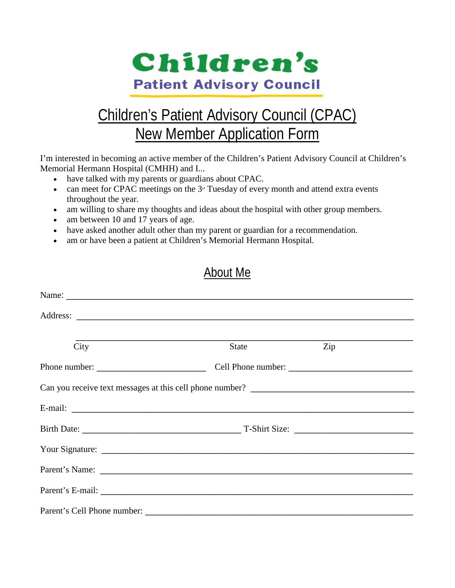

# Children's Patient Advisory Council (CPAC) New Member Application Form

I'm interested in becoming an active member of the Children's Patient Advisory Council at Children's Memorial Hermann Hospital (CMHH) and I...

- have talked with my parents or guardians about CPAC.
- can meet for CPAC meetings on the  $3<sup>d</sup>$  Tuesday of every month and attend extra events throughout the year.
- am willing to share my thoughts and ideas about the hospital with other group members.
- am between 10 and 17 years of age.
- have asked another adult other than my parent or guardian for a recommendation.
- am or have been a patient at Children's Memorial Hermann Hospital.

## About Me

| City                                                             | State | Zip |  |
|------------------------------------------------------------------|-------|-----|--|
| Phone number: $\frac{1}{\sqrt{1-\frac{1}{2}} \cdot \frac{1}{2}}$ |       |     |  |
|                                                                  |       |     |  |
|                                                                  |       |     |  |
|                                                                  |       |     |  |
|                                                                  |       |     |  |
|                                                                  |       |     |  |
|                                                                  |       |     |  |
|                                                                  |       |     |  |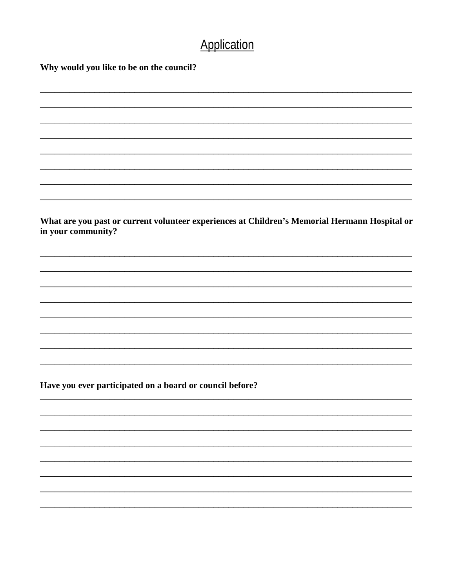# Application

Why would you like to be on the council?

What are you past or current volunteer experiences at Children's Memorial Hermann Hospital or in your community?

Have you ever participated on a board or council before?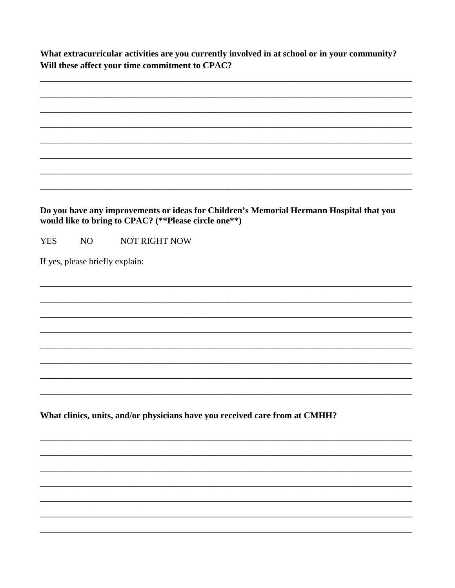What extracurricular activities are you currently involved in at school or in your community? Will these affect your time commitment to CPAC?

|            |    | Do you have any improvements or ideas for Children's Memorial Hermann Hospital that you<br>would like to bring to CPAC? (**Please circle one**) |
|------------|----|-------------------------------------------------------------------------------------------------------------------------------------------------|
| <b>YES</b> | NO | <b>NOT RIGHT NOW</b>                                                                                                                            |
|            |    | If yes, please briefly explain:                                                                                                                 |
|            |    |                                                                                                                                                 |
|            |    |                                                                                                                                                 |
|            |    |                                                                                                                                                 |
|            |    |                                                                                                                                                 |
|            |    |                                                                                                                                                 |
|            |    |                                                                                                                                                 |
|            |    |                                                                                                                                                 |
|            |    |                                                                                                                                                 |
|            |    |                                                                                                                                                 |
|            |    | What clinics, units, and/or physicians have you received care from at CMHH?                                                                     |
|            |    |                                                                                                                                                 |
|            |    |                                                                                                                                                 |
|            |    |                                                                                                                                                 |
|            |    |                                                                                                                                                 |
|            |    |                                                                                                                                                 |
|            |    |                                                                                                                                                 |
|            |    |                                                                                                                                                 |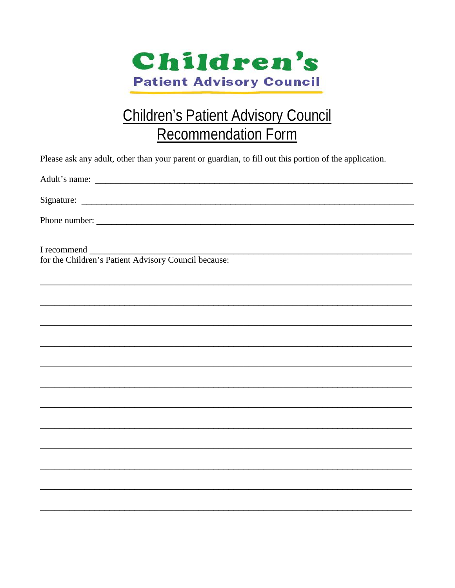

# **Children's Patient Advisory Council Recommendation Form**

| Please ask any adult, other than your parent or guardian, to fill out this portion of the application. |
|--------------------------------------------------------------------------------------------------------|
|                                                                                                        |
|                                                                                                        |
|                                                                                                        |
| I recommend                                                                                            |
| for the Children's Patient Advisory Council because:                                                   |
|                                                                                                        |
|                                                                                                        |
|                                                                                                        |
| ,我们也不能在这里的时候,我们也不能在这里的时候,我们也不能在这里的时候,我们也不能会在这里的时候,我们也不能会在这里的时候,我们也不能会在这里的时候,我们也不能                      |
|                                                                                                        |
|                                                                                                        |
|                                                                                                        |
|                                                                                                        |
| ,我们也不能在这里的人,我们也不能在这里的人,我们也不能在这里的人,我们也不能在这里的人,我们也不能在这里的人,我们也不能在这里的人,我们也不能在这里的人,我们也                      |
|                                                                                                        |
|                                                                                                        |
|                                                                                                        |
|                                                                                                        |